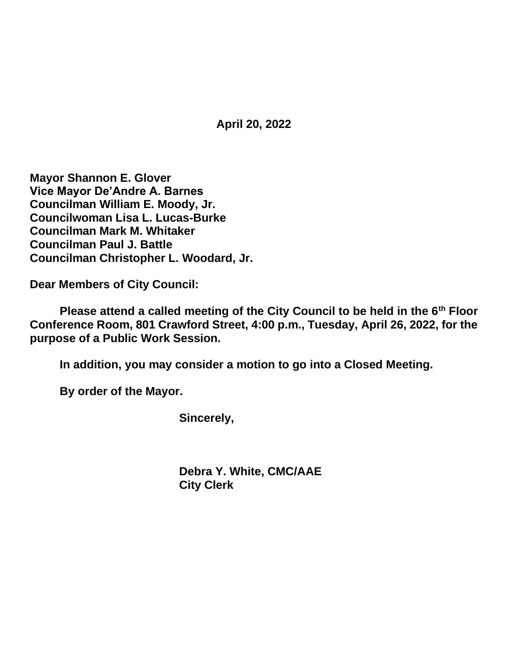**April 20, 2022**

**Mayor Shannon E. Glover Vice Mayor De'Andre A. Barnes Councilman William E. Moody, Jr. Councilwoman Lisa L. Lucas-Burke Councilman Mark M. Whitaker Councilman Paul J. Battle Councilman Christopher L. Woodard, Jr.**

**Dear Members of City Council:**

**Please attend a called meeting of the City Council to be held in the 6th Floor Conference Room, 801 Crawford Street, 4:00 p.m., Tuesday, April 26, 2022, for the purpose of a Public Work Session.**

**In addition, you may consider a motion to go into a Closed Meeting.**

**By order of the Mayor.**

**Sincerely,**

**Debra Y. White, CMC/AAE City Clerk**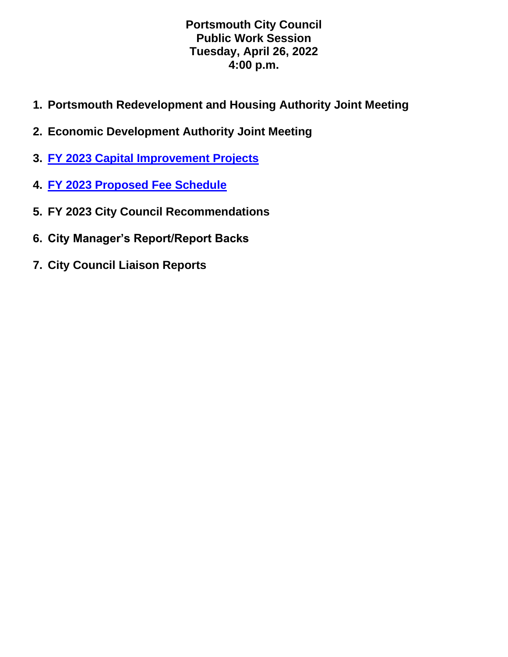### **Portsmouth City Council Public Work Session Tuesday, April 26, 2022 4:00 p.m.**

- **1. Portsmouth Redevelopment and Housing Authority Joint Meeting**
- **2. Economic Development Authority Joint Meeting**
- **3. [FY 2023 Capital Improvement Projects](https://www.portsmouthva.gov/DocumentCenter/View/12323/Capital-Projects-Presentation-4262022-002)**
- **4. [FY 2023 Proposed Fee Schedule](https://www.portsmouthva.gov/DocumentCenter/View/12326/FY2023-Review-of-Proposed-Fees-and-Rates-NO-NOTES)**
- **5. FY 2023 City Council Recommendations**
- **6. City Manager's Report/Report Backs**
- **7. City Council Liaison Reports**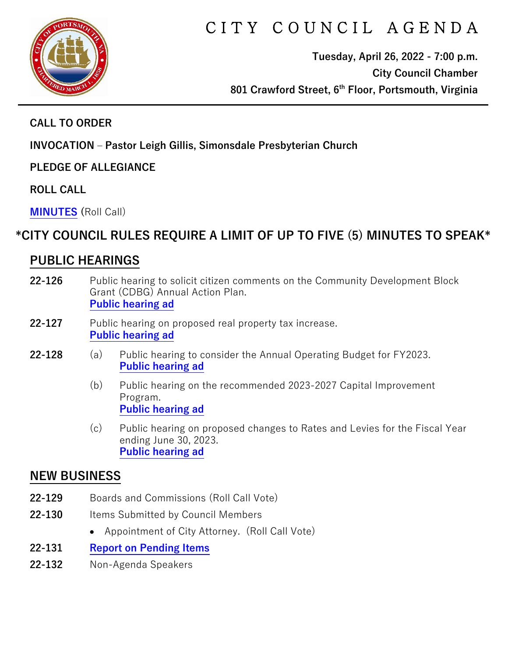

# CITY COUNCIL AGENDA

**Tuesday, April 26, 2022 - 7:00 p.m. City Council Chamber 801 Crawford Street, 6th Floor, Portsmouth, Virginia**

### **CALL TO ORDER**

**INVOCATION – Pastor Leigh Gillis, Simonsdale Presbyterian Church**

**PLEDGE OF ALLEGIANCE** 

**ROLL CALL**

**[MINUTES](https://www.portsmouthva.gov/DocumentCenter/View/12325/City-Council-Minutes) (**Roll Call)

# **\*CITY COUNCIL RULES REQUIRE A LIMIT OF UP TO FIVE (5) MINUTES TO SPEAK\***

# **PUBLIC HEARINGS**

- **22-126** Public hearing to solicit citizen comments on the Community Development Block Grant (CDBG) Annual Action Plan. **[Public hearing ad](https://www.portsmouthva.gov/DocumentCenter/View/12276/22-126-CDBG-Public-hearing)**
- **22-127** Public hearing on proposed real property tax increase. **[Public hearing ad](https://www.portsmouthva.gov/DocumentCenter/View/12277/22-127-Real-Property-Public-hearing)**
- **22-128** (a) Public hearing to consider the Annual Operating Budget for FY2023. **[Public hearing ad](https://www.portsmouthva.gov/DocumentCenter/View/12278/22-128a-Operating-Budget-public-hearing)**
	- (b) Public hearing on the recommended 2023-2027 Capital Improvement Program. **[Public hearing ad](https://www.portsmouthva.gov/DocumentCenter/View/12279/22-128b-CIP-Public-hearing)**
	- (c) Public hearing on proposed changes to Rates and Levies for the Fiscal Year ending June 30, 2023. **[Public hearing ad](https://www.portsmouthva.gov/DocumentCenter/View/12280/22-128c-Rates-and-Levies-Public-hearing)**

## **NEW BUSINESS**

- **22-129** Boards and Commissions (Roll Call Vote)
- **22-130** Items Submitted by Council Members
	- Appointment of City Attorney. (Roll Call Vote)
- **22-131 [Report on Pending Items](https://www.portsmouthva.gov/DocumentCenter/View/12317/Non-Agenda-Speakers-Report-Final)**
- **22-132** Non-Agenda Speakers